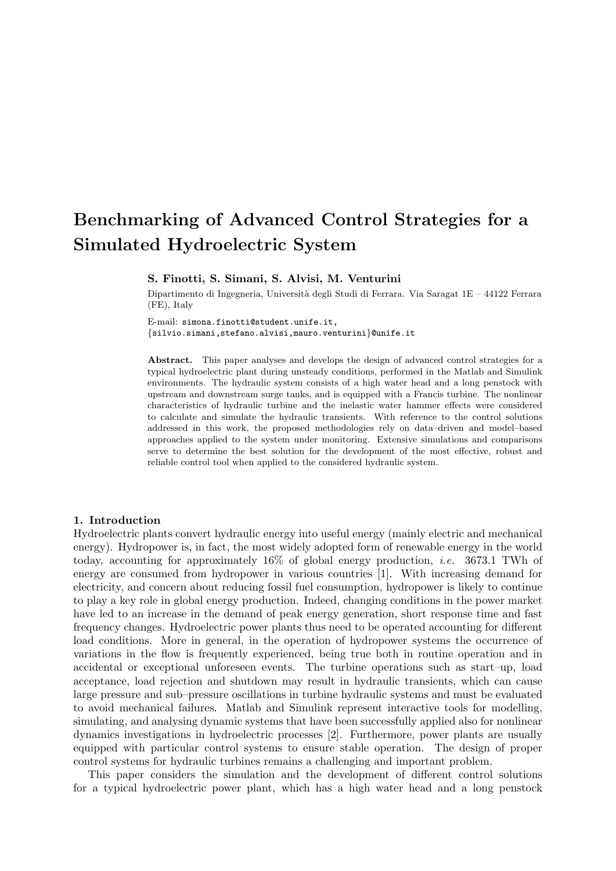# Benchmarking of Advanced Control Strategies for a Simulated Hydroelectric System

S. Finotti, S. Simani, S. Alvisi, M. Venturini

Dipartimento di Ingegneria, Università degli Studi di Ferrara. Via Saragat 1E – 44122 Ferrara (FE), Italy

E-mail: simona.finotti@student.unife.it, {silvio.simani,stefano.alvisi,mauro.venturini}@unife.it

Abstract. This paper analyses and develops the design of advanced control strategies for a typical hydroelectric plant during unsteady conditions, performed in the Matlab and Simulink environments. The hydraulic system consists of a high water head and a long penstock with upstream and downstream surge tanks, and is equipped with a Francis turbine. The nonlinear characteristics of hydraulic turbine and the inelastic water hammer effects were considered to calculate and simulate the hydraulic transients. With reference to the control solutions addressed in this work, the proposed methodologies rely on data–driven and model–based approaches applied to the system under monitoring. Extensive simulations and comparisons serve to determine the best solution for the development of the most effective, robust and reliable control tool when applied to the considered hydraulic system.

# 1. Introduction

Hydroelectric plants convert hydraulic energy into useful energy (mainly electric and mechanical energy). Hydropower is, in fact, the most widely adopted form of renewable energy in the world today, accounting for approximately  $16\%$  of global energy production, *i.e.* 3673.1 TWh of energy are consumed from hydropower in various countries [1]. With increasing demand for electricity, and concern about reducing fossil fuel consumption, hydropower is likely to continue to play a key role in global energy production. Indeed, changing conditions in the power market have led to an increase in the demand of peak energy generation, short response time and fast frequency changes. Hydroelectric power plants thus need to be operated accounting for different load conditions. More in general, in the operation of hydropower systems the occurrence of variations in the flow is frequently experienced, being true both in routine operation and in accidental or exceptional unforeseen events. The turbine operations such as start–up, load acceptance, load rejection and shutdown may result in hydraulic transients, which can cause large pressure and sub–pressure oscillations in turbine hydraulic systems and must be evaluated to avoid mechanical failures. Matlab and Simulink represent interactive tools for modelling, simulating, and analysing dynamic systems that have been successfully applied also for nonlinear dynamics investigations in hydroelectric processes [2]. Furthermore, power plants are usually equipped with particular control systems to ensure stable operation. The design of proper control systems for hydraulic turbines remains a challenging and important problem.

This paper considers the simulation and the development of different control solutions for a typical hydroelectric power plant, which has a high water head and a long penstock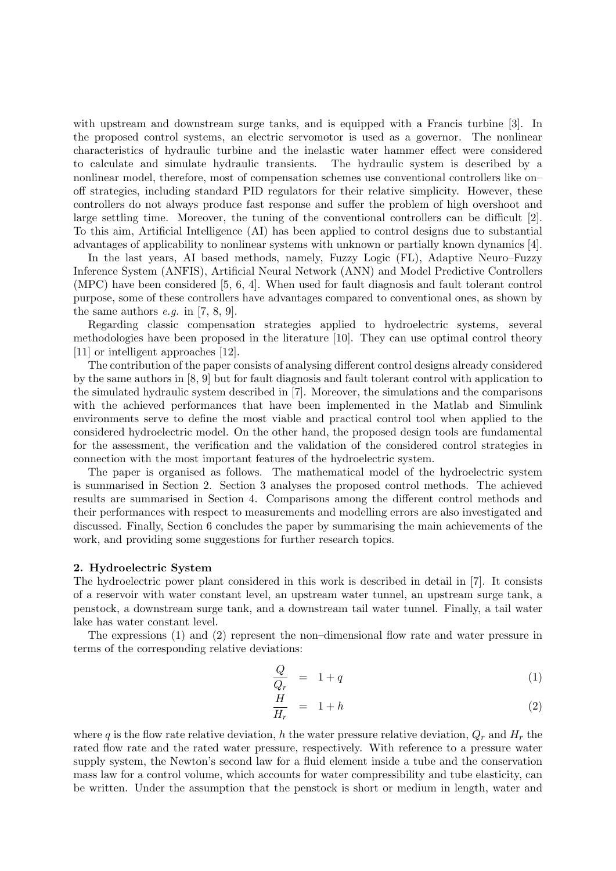with upstream and downstream surge tanks, and is equipped with a Francis turbine [3]. In the proposed control systems, an electric servomotor is used as a governor. The nonlinear characteristics of hydraulic turbine and the inelastic water hammer effect were considered to calculate and simulate hydraulic transients. The hydraulic system is described by a nonlinear model, therefore, most of compensation schemes use conventional controllers like on– off strategies, including standard PID regulators for their relative simplicity. However, these controllers do not always produce fast response and suffer the problem of high overshoot and large settling time. Moreover, the tuning of the conventional controllers can be difficult [2]. To this aim, Artificial Intelligence (AI) has been applied to control designs due to substantial advantages of applicability to nonlinear systems with unknown or partially known dynamics [4].

In the last years, AI based methods, namely, Fuzzy Logic (FL), Adaptive Neuro–Fuzzy Inference System (ANFIS), Artificial Neural Network (ANN) and Model Predictive Controllers (MPC) have been considered [5, 6, 4]. When used for fault diagnosis and fault tolerant control purpose, some of these controllers have advantages compared to conventional ones, as shown by the same authors  $e.q.$  in [7, 8, 9].

Regarding classic compensation strategies applied to hydroelectric systems, several methodologies have been proposed in the literature [10]. They can use optimal control theory [11] or intelligent approaches [12].

The contribution of the paper consists of analysing different control designs already considered by the same authors in [8, 9] but for fault diagnosis and fault tolerant control with application to the simulated hydraulic system described in [7]. Moreover, the simulations and the comparisons with the achieved performances that have been implemented in the Matlab and Simulink environments serve to define the most viable and practical control tool when applied to the considered hydroelectric model. On the other hand, the proposed design tools are fundamental for the assessment, the verification and the validation of the considered control strategies in connection with the most important features of the hydroelectric system.

The paper is organised as follows. The mathematical model of the hydroelectric system is summarised in Section 2. Section 3 analyses the proposed control methods. The achieved results are summarised in Section 4. Comparisons among the different control methods and their performances with respect to measurements and modelling errors are also investigated and discussed. Finally, Section 6 concludes the paper by summarising the main achievements of the work, and providing some suggestions for further research topics.

#### 2. Hydroelectric System

The hydroelectric power plant considered in this work is described in detail in [7]. It consists of a reservoir with water constant level, an upstream water tunnel, an upstream surge tank, a penstock, a downstream surge tank, and a downstream tail water tunnel. Finally, a tail water lake has water constant level.

The expressions (1) and (2) represent the non–dimensional flow rate and water pressure in terms of the corresponding relative deviations:

$$
\frac{Q}{Q_r} = 1 + q \tag{1}
$$

$$
\frac{H}{H_r} = 1 + h \tag{2}
$$

where q is the flow rate relative deviation, h the water pressure relative deviation,  $Q_r$  and  $H_r$  the rated flow rate and the rated water pressure, respectively. With reference to a pressure water supply system, the Newton's second law for a fluid element inside a tube and the conservation mass law for a control volume, which accounts for water compressibility and tube elasticity, can be written. Under the assumption that the penstock is short or medium in length, water and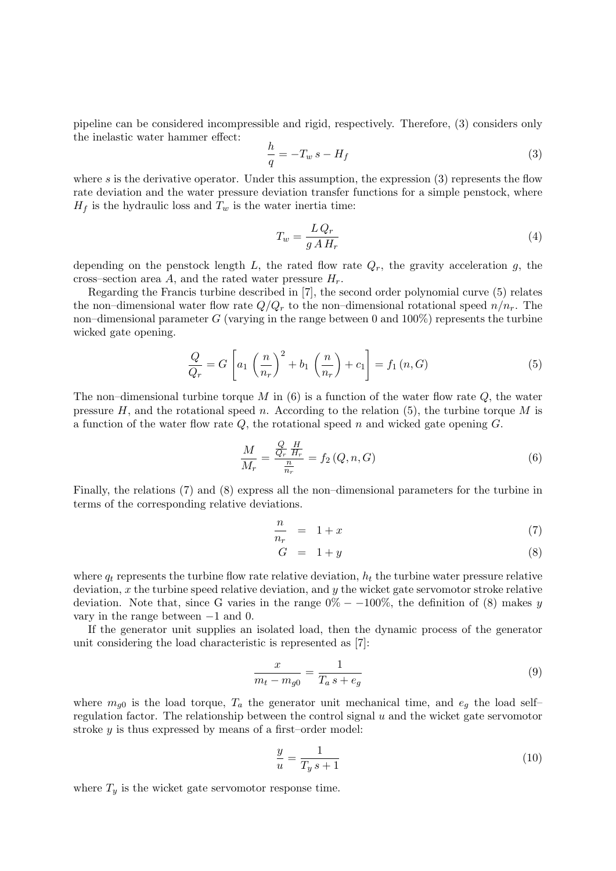pipeline can be considered incompressible and rigid, respectively. Therefore, (3) considers only the inelastic water hammer effect:

$$
\frac{h}{q} = -T_w s - H_f \tag{3}
$$

where s is the derivative operator. Under this assumption, the expression  $(3)$  represents the flow rate deviation and the water pressure deviation transfer functions for a simple penstock, where  $H_f$  is the hydraulic loss and  $T_w$  is the water inertia time:

$$
T_w = \frac{L Q_r}{g A H_r} \tag{4}
$$

depending on the penstock length L, the rated flow rate  $Q_r$ , the gravity acceleration g, the cross–section area A, and the rated water pressure  $H_r$ .

Regarding the Francis turbine described in [7], the second order polynomial curve (5) relates the non–dimensional water flow rate  $Q/Q_r$  to the non–dimensional rotational speed  $n/n_r$ . The non–dimensional parameter G (varying in the range between 0 and  $100\%$ ) represents the turbine wicked gate opening.

$$
\frac{Q}{Q_r} = G \left[ a_1 \left( \frac{n}{n_r} \right)^2 + b_1 \left( \frac{n}{n_r} \right) + c_1 \right] = f_1(n, G) \tag{5}
$$

The non–dimensional turbine torque M in  $(6)$  is a function of the water flow rate Q, the water pressure H, and the rotational speed n. According to the relation  $(5)$ , the turbine torque M is a function of the water flow rate  $Q$ , the rotational speed  $n$  and wicked gate opening  $G$ .

$$
\frac{M}{M_r} = \frac{\frac{Q}{Q_r} \frac{H}{H_r}}{\frac{n}{n_r}} = f_2\left(Q, n, G\right) \tag{6}
$$

Finally, the relations (7) and (8) express all the non–dimensional parameters for the turbine in terms of the corresponding relative deviations.

$$
\frac{n}{n_r} = 1 + x \tag{7}
$$

$$
G = 1 + y \tag{8}
$$

where  $q_t$  represents the turbine flow rate relative deviation,  $h_t$  the turbine water pressure relative deviation,  $x$  the turbine speed relative deviation, and  $y$  the wicket gate servomotor stroke relative deviation. Note that, since G varies in the range  $0\% - -100\%$ , the definition of (8) makes y vary in the range between −1 and 0.

If the generator unit supplies an isolated load, then the dynamic process of the generator unit considering the load characteristic is represented as [7]:

$$
\frac{x}{m_t - m_{g0}} = \frac{1}{T_a s + e_g} \tag{9}
$$

where  $m_{q0}$  is the load torque,  $T_a$  the generator unit mechanical time, and  $e_q$  the load self– regulation factor. The relationship between the control signal  $u$  and the wicket gate servomotor stroke  $y$  is thus expressed by means of a first–order model:

$$
\frac{y}{u} = \frac{1}{T_y s + 1} \tag{10}
$$

where  $T<sub>y</sub>$  is the wicket gate servomotor response time.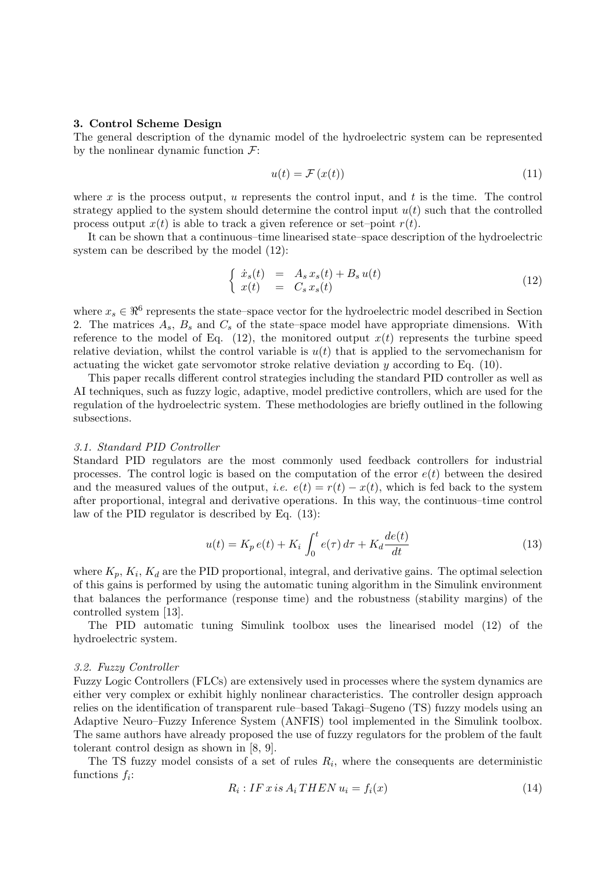## 3. Control Scheme Design

The general description of the dynamic model of the hydroelectric system can be represented by the nonlinear dynamic function  $\mathcal{F}$ :

$$
u(t) = \mathcal{F}\left(x(t)\right) \tag{11}
$$

where  $x$  is the process output,  $u$  represents the control input, and  $t$  is the time. The control strategy applied to the system should determine the control input  $u(t)$  such that the controlled process output  $x(t)$  is able to track a given reference or set–point  $r(t)$ .

It can be shown that a continuous–time linearised state–space description of the hydroelectric system can be described by the model (12):

$$
\begin{cases}\n\dot{x}_s(t) = A_s x_s(t) + B_s u(t) \\
x(t) = C_s x_s(t)\n\end{cases} \tag{12}
$$

where  $x_s \in \mathbb{R}^6$  represents the state–space vector for the hydroelectric model described in Section 2. The matrices  $A_s$ ,  $B_s$  and  $C_s$  of the state–space model have appropriate dimensions. With reference to the model of Eq.  $(12)$ , the monitored output  $x(t)$  represents the turbine speed relative deviation, whilst the control variable is  $u(t)$  that is applied to the servomechanism for actuating the wicket gate servomotor stroke relative deviation  $y$  according to Eq. (10).

This paper recalls different control strategies including the standard PID controller as well as AI techniques, such as fuzzy logic, adaptive, model predictive controllers, which are used for the regulation of the hydroelectric system. These methodologies are briefly outlined in the following subsections.

## 3.1. Standard PID Controller

Standard PID regulators are the most commonly used feedback controllers for industrial processes. The control logic is based on the computation of the error  $e(t)$  between the desired and the measured values of the output, i.e.  $e(t) = r(t) - x(t)$ , which is fed back to the system after proportional, integral and derivative operations. In this way, the continuous–time control law of the PID regulator is described by Eq. (13):

$$
u(t) = K_p e(t) + K_i \int_0^t e(\tau) d\tau + K_d \frac{de(t)}{dt}
$$
 (13)

where  $K_p$ ,  $K_i$ ,  $K_d$  are the PID proportional, integral, and derivative gains. The optimal selection of this gains is performed by using the automatic tuning algorithm in the Simulink environment that balances the performance (response time) and the robustness (stability margins) of the controlled system [13].

The PID automatic tuning Simulink toolbox uses the linearised model (12) of the hydroelectric system.

#### 3.2. Fuzzy Controller

Fuzzy Logic Controllers (FLCs) are extensively used in processes where the system dynamics are either very complex or exhibit highly nonlinear characteristics. The controller design approach relies on the identification of transparent rule–based Takagi–Sugeno (TS) fuzzy models using an Adaptive Neuro–Fuzzy Inference System (ANFIS) tool implemented in the Simulink toolbox. The same authors have already proposed the use of fuzzy regulators for the problem of the fault tolerant control design as shown in [8, 9].

The TS fuzzy model consists of a set of rules  $R_i$ , where the consequents are deterministic functions  $f_i$ :

$$
R_i: IF\,x\,is\,A_i\,THEN\,u_i = f_i(x) \tag{14}
$$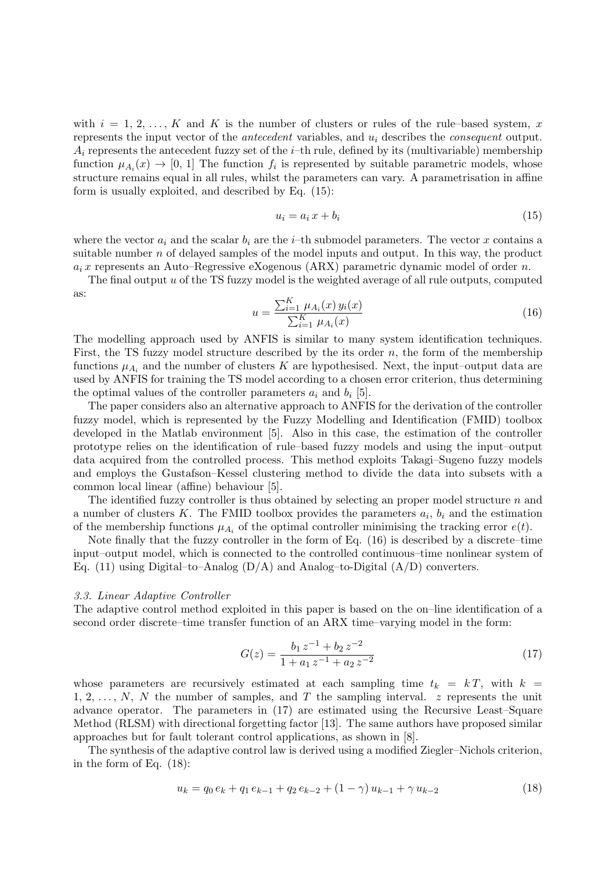with  $i = 1, 2, ..., K$  and K is the number of clusters or rules of the rule–based system, x represents the input vector of the *antecedent* variables, and  $u_i$  describes the *consequent* output.  $A_i$  represents the antecedent fuzzy set of the *i*-th rule, defined by its (multivariable) membership function  $\mu_{A_i}(x) \to [0, 1]$  The function  $f_i$  is represented by suitable parametric models, whose structure remains equal in all rules, whilst the parameters can vary. A parametrisation in affine form is usually exploited, and described by Eq. (15):

$$
u_i = a_i x + b_i \tag{15}
$$

where the vector  $a_i$  and the scalar  $b_i$  are the *i*–th submodel parameters. The vector x contains a suitable number  $n$  of delayed samples of the model inputs and output. In this way, the product  $a_i x$  represents an Auto–Regressive eXogenous (ARX) parametric dynamic model of order n.

The final output  $u$  of the TS fuzzy model is the weighted average of all rule outputs, computed as:

$$
u = \frac{\sum_{i=1}^{K} \mu_{A_i}(x) y_i(x)}{\sum_{i=1}^{K} \mu_{A_i}(x)}
$$
(16)

The modelling approach used by ANFIS is similar to many system identification techniques. First, the TS fuzzy model structure described by the its order  $n$ , the form of the membership functions  $\mu_{A_i}$  and the number of clusters K are hypothesised. Next, the input–output data are used by ANFIS for training the TS model according to a chosen error criterion, thus determining the optimal values of the controller parameters  $a_i$  and  $b_i$  [5].

The paper considers also an alternative approach to ANFIS for the derivation of the controller fuzzy model, which is represented by the Fuzzy Modelling and Identification (FMID) toolbox developed in the Matlab environment [5]. Also in this case, the estimation of the controller prototype relies on the identification of rule–based fuzzy models and using the input–output data acquired from the controlled process. This method exploits Takagi–Sugeno fuzzy models and employs the Gustafson–Kessel clustering method to divide the data into subsets with a common local linear (affine) behaviour [5].

The identified fuzzy controller is thus obtained by selecting an proper model structure  $n$  and a number of clusters K. The FMID toolbox provides the parameters  $a_i$ ,  $b_i$  and the estimation of the membership functions  $\mu_{A_i}$  of the optimal controller minimising the tracking error  $e(t)$ .

Note finally that the fuzzy controller in the form of Eq. (16) is described by a discrete–time input–output model, which is connected to the controlled continuous–time nonlinear system of Eq. (11) using Digital–to–Analog  $(D/A)$  and Analog–to-Digital  $(A/D)$  converters.

#### 3.3. Linear Adaptive Controller

The adaptive control method exploited in this paper is based on the on–line identification of a second order discrete–time transfer function of an ARX time–varying model in the form:

$$
G(z) = \frac{b_1 z^{-1} + b_2 z^{-2}}{1 + a_1 z^{-1} + a_2 z^{-2}}
$$
\n(17)

whose parameters are recursively estimated at each sampling time  $t_k = kT$ , with  $k =$  $1, 2, \ldots, N, N$  the number of samples, and T the sampling interval. z represents the unit advance operator. The parameters in (17) are estimated using the Recursive Least–Square Method (RLSM) with directional forgetting factor [13]. The same authors have proposed similar approaches but for fault tolerant control applications, as shown in [8].

The synthesis of the adaptive control law is derived using a modified Ziegler–Nichols criterion, in the form of Eq. (18):

$$
u_k = q_0 e_k + q_1 e_{k-1} + q_2 e_{k-2} + (1 - \gamma) u_{k-1} + \gamma u_{k-2}
$$
\n
$$
(18)
$$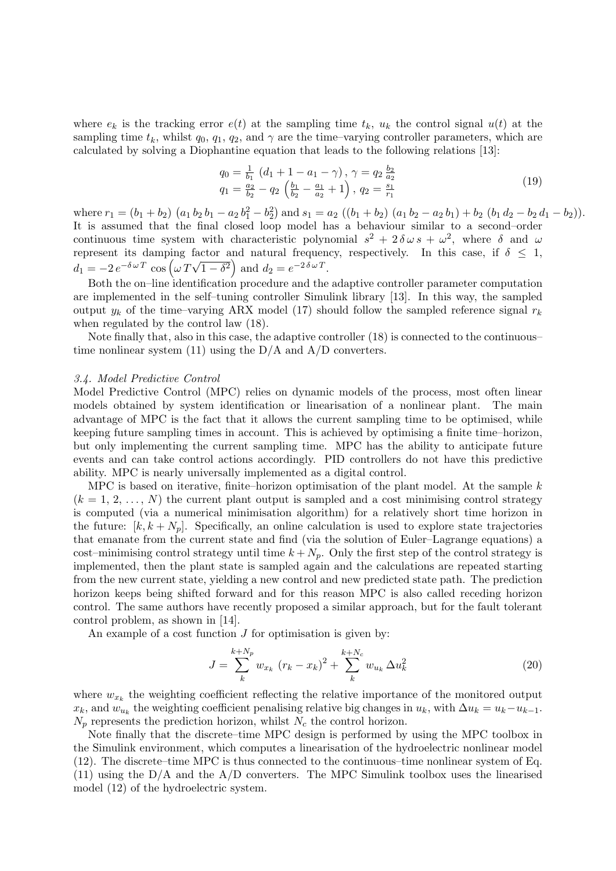where  $e_k$  is the tracking error  $e(t)$  at the sampling time  $t_k$ ,  $u_k$  the control signal  $u(t)$  at the sampling time  $t_k$ , whilst  $q_0$ ,  $q_1$ ,  $q_2$ , and  $\gamma$  are the time–varying controller parameters, which are calculated by solving a Diophantine equation that leads to the following relations [13]:

$$
q_0 = \frac{1}{b_1} \left( d_1 + 1 - a_1 - \gamma \right), \ \gamma = q_2 \frac{b_2}{a_2}
$$
  
\n
$$
q_1 = \frac{a_2}{b_2} - q_2 \left( \frac{b_1}{b_2} - \frac{a_1}{a_2} + 1 \right), \ q_2 = \frac{s_1}{r_1}
$$
\n(19)

where  $r_1 = (b_1 + b_2) (a_1 b_2 b_1 - a_2 b_1^2 - b_2^2)$  and  $s_1 = a_2 ((b_1 + b_2) (a_1 b_2 - a_2 b_1) + b_2 (b_1 d_2 - b_2 d_1 - b_2)).$ It is assumed that the final closed loop model has a behaviour similar to a second–order continuous time system with characteristic polynomial  $s^2 + 2 \delta \omega s + \omega^2$ , where  $\delta$  and  $\omega$ represent its damping factor and natural frequency, respectively. In this case, if  $\delta \leq 1$ , represent its damping ractor and natural frequency<br>  $d_1 = -2 e^{-\delta \omega T} \cos \left( \omega T \sqrt{1 - \delta^2} \right)$  and  $d_2 = e^{-2 \delta \omega T}$ .

Both the on–line identification procedure and the adaptive controller parameter computation are implemented in the self–tuning controller Simulink library [13]. In this way, the sampled output  $y_k$  of the time–varying ARX model (17) should follow the sampled reference signal  $r_k$ when regulated by the control law (18).

Note finally that, also in this case, the adaptive controller (18) is connected to the continuous– time nonlinear system  $(11)$  using the D/A and A/D converters.

#### 3.4. Model Predictive Control

Model Predictive Control (MPC) relies on dynamic models of the process, most often linear models obtained by system identification or linearisation of a nonlinear plant. The main advantage of MPC is the fact that it allows the current sampling time to be optimised, while keeping future sampling times in account. This is achieved by optimising a finite time–horizon, but only implementing the current sampling time. MPC has the ability to anticipate future events and can take control actions accordingly. PID controllers do not have this predictive ability. MPC is nearly universally implemented as a digital control.

MPC is based on iterative, finite–horizon optimisation of the plant model. At the sample  $k$  $(k = 1, 2, \ldots, N)$  the current plant output is sampled and a cost minimising control strategy is computed (via a numerical minimisation algorithm) for a relatively short time horizon in the future:  $[k, k + N_p]$ . Specifically, an online calculation is used to explore state trajectories that emanate from the current state and find (via the solution of Euler–Lagrange equations) a cost–minimising control strategy until time  $k + N_p$ . Only the first step of the control strategy is implemented, then the plant state is sampled again and the calculations are repeated starting from the new current state, yielding a new control and new predicted state path. The prediction horizon keeps being shifted forward and for this reason MPC is also called receding horizon control. The same authors have recently proposed a similar approach, but for the fault tolerant control problem, as shown in [14].

An example of a cost function  $J$  for optimisation is given by:

$$
J = \sum_{k}^{k+N_p} w_{x_k} (r_k - x_k)^2 + \sum_{k}^{k+N_c} w_{u_k} \Delta u_k^2
$$
 (20)

where  $w_{x_k}$  the weighting coefficient reflecting the relative importance of the monitored output  $x_k$ , and  $w_{u_k}$  the weighting coefficient penalising relative big changes in  $u_k$ , with  $\Delta u_k = u_k - u_{k-1}$ .  $N_p$  represents the prediction horizon, whilst  $N_c$  the control horizon.

Note finally that the discrete–time MPC design is performed by using the MPC toolbox in the Simulink environment, which computes a linearisation of the hydroelectric nonlinear model (12). The discrete–time MPC is thus connected to the continuous–time nonlinear system of Eq.  $(11)$  using the D/A and the A/D converters. The MPC Simulink toolbox uses the linearised model (12) of the hydroelectric system.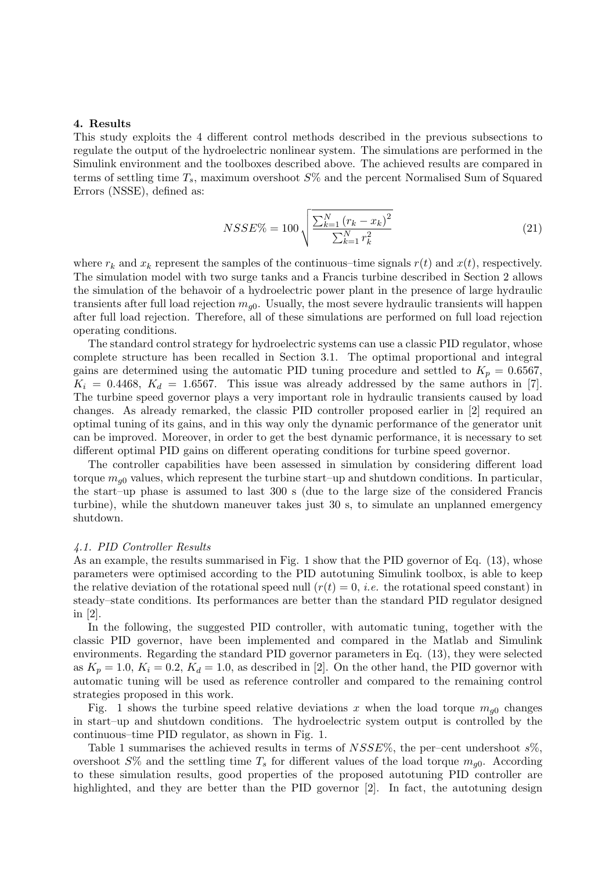# 4. Results

This study exploits the 4 different control methods described in the previous subsections to regulate the output of the hydroelectric nonlinear system. The simulations are performed in the Simulink environment and the toolboxes described above. The achieved results are compared in terms of settling time  $T_s$ , maximum overshoot  $S\%$  and the percent Normalised Sum of Squared Errors (NSSE), defined as:

$$
NSSE\% = 100 \sqrt{\frac{\sum_{k=1}^{N} (r_k - x_k)^2}{\sum_{k=1}^{N} r_k^2}}
$$
(21)

where  $r_k$  and  $x_k$  represent the samples of the continuous–time signals  $r(t)$  and  $x(t)$ , respectively. The simulation model with two surge tanks and a Francis turbine described in Section 2 allows the simulation of the behavoir of a hydroelectric power plant in the presence of large hydraulic transients after full load rejection  $m_{q0}$ . Usually, the most severe hydraulic transients will happen after full load rejection. Therefore, all of these simulations are performed on full load rejection operating conditions.

The standard control strategy for hydroelectric systems can use a classic PID regulator, whose complete structure has been recalled in Section 3.1. The optimal proportional and integral gains are determined using the automatic PID tuning procedure and settled to  $K_p = 0.6567$ ,  $K_i = 0.4468$ ,  $K_d = 1.6567$ . This issue was already addressed by the same authors in [7]. The turbine speed governor plays a very important role in hydraulic transients caused by load changes. As already remarked, the classic PID controller proposed earlier in [2] required an optimal tuning of its gains, and in this way only the dynamic performance of the generator unit can be improved. Moreover, in order to get the best dynamic performance, it is necessary to set different optimal PID gains on different operating conditions for turbine speed governor.

The controller capabilities have been assessed in simulation by considering different load torque  $m_{q0}$  values, which represent the turbine start–up and shutdown conditions. In particular, the start–up phase is assumed to last 300 s (due to the large size of the considered Francis turbine), while the shutdown maneuver takes just 30 s, to simulate an unplanned emergency shutdown.

#### 4.1. PID Controller Results

As an example, the results summarised in Fig. 1 show that the PID governor of Eq. (13), whose parameters were optimised according to the PID autotuning Simulink toolbox, is able to keep the relative deviation of the rotational speed null  $(r(t) = 0, i.e.$  the rotational speed constant) in steady–state conditions. Its performances are better than the standard PID regulator designed in [2].

In the following, the suggested PID controller, with automatic tuning, together with the classic PID governor, have been implemented and compared in the Matlab and Simulink environments. Regarding the standard PID governor parameters in Eq. (13), they were selected as  $K_p = 1.0$ ,  $K_i = 0.2$ ,  $K_d = 1.0$ , as described in [2]. On the other hand, the PID governor with automatic tuning will be used as reference controller and compared to the remaining control strategies proposed in this work.

Fig. 1 shows the turbine speed relative deviations x when the load torque  $m_{q0}$  changes in start–up and shutdown conditions. The hydroelectric system output is controlled by the continuous–time PID regulator, as shown in Fig. 1.

Table 1 summarises the achieved results in terms of  $NSSE\%$ , the per–cent undershoot  $s\%$ , overshoot  $S\%$  and the settling time  $T_s$  for different values of the load torque  $m_{q0}$ . According to these simulation results, good properties of the proposed autotuning PID controller are highlighted, and they are better than the PID governor [2]. In fact, the autotuning design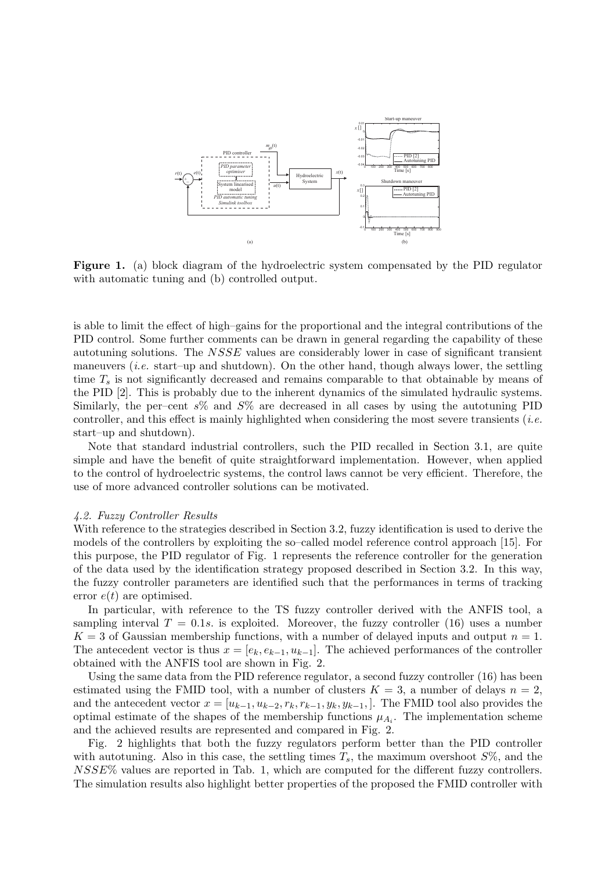

Figure 1. (a) block diagram of the hydroelectric system compensated by the PID regulator with automatic tuning and (b) controlled output.

is able to limit the effect of high–gains for the proportional and the integral contributions of the PID control. Some further comments can be drawn in general regarding the capability of these autotuning solutions. The NSSE values are considerably lower in case of significant transient maneuvers *(i.e.* start–up and shutdown). On the other hand, though always lower, the settling time  $T_s$  is not significantly decreased and remains comparable to that obtainable by means of the PID [2]. This is probably due to the inherent dynamics of the simulated hydraulic systems. Similarly, the per–cent  $s\%$  and  $S\%$  are decreased in all cases by using the autotuning PID controller, and this effect is mainly highlighted when considering the most severe transients  $(i.e.$ start–up and shutdown).

Note that standard industrial controllers, such the PID recalled in Section 3.1, are quite simple and have the benefit of quite straightforward implementation. However, when applied to the control of hydroelectric systems, the control laws cannot be very efficient. Therefore, the use of more advanced controller solutions can be motivated.

## 4.2. Fuzzy Controller Results

With reference to the strategies described in Section 3.2, fuzzy identification is used to derive the models of the controllers by exploiting the so–called model reference control approach [15]. For this purpose, the PID regulator of Fig. 1 represents the reference controller for the generation of the data used by the identification strategy proposed described in Section 3.2. In this way, the fuzzy controller parameters are identified such that the performances in terms of tracking error  $e(t)$  are optimised.

In particular, with reference to the TS fuzzy controller derived with the ANFIS tool, a sampling interval  $T = 0.1s$  is exploited. Moreover, the fuzzy controller (16) uses a number  $K = 3$  of Gaussian membership functions, with a number of delayed inputs and output  $n = 1$ . The antecedent vector is thus  $x = [e_k, e_{k-1}, u_{k-1}]$ . The achieved performances of the controller obtained with the ANFIS tool are shown in Fig. 2.

Using the same data from the PID reference regulator, a second fuzzy controller (16) has been estimated using the FMID tool, with a number of clusters  $K = 3$ , a number of delays  $n = 2$ , and the antecedent vector  $x = [u_{k-1}, u_{k-2}, r_k, r_{k-1}, y_k, y_{k-1}]$ . The FMID tool also provides the optimal estimate of the shapes of the membership functions  $\mu_{A_i}$ . The implementation scheme and the achieved results are represented and compared in Fig. 2.

Fig. 2 highlights that both the fuzzy regulators perform better than the PID controller with autotuning. Also in this case, the settling times  $T_s$ , the maximum overshoot  $S\%$ , and the NSSE% values are reported in Tab. 1, which are computed for the different fuzzy controllers. The simulation results also highlight better properties of the proposed the FMID controller with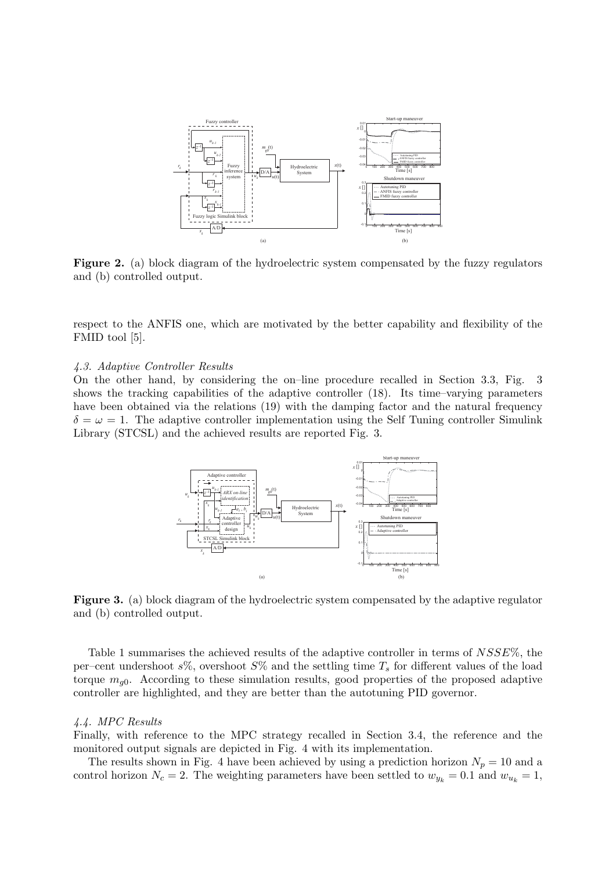

Figure 2. (a) block diagram of the hydroelectric system compensated by the fuzzy regulators and (b) controlled output.

respect to the ANFIS one, which are motivated by the better capability and flexibility of the FMID tool [5].

# 4.3. Adaptive Controller Results

On the other hand, by considering the on–line procedure recalled in Section 3.3, Fig. 3 shows the tracking capabilities of the adaptive controller (18). Its time–varying parameters have been obtained via the relations (19) with the damping factor and the natural frequency  $\delta = \omega = 1$ . The adaptive controller implementation using the Self Tuning controller Simulink Library (STCSL) and the achieved results are reported Fig. 3.



Figure 3. (a) block diagram of the hydroelectric system compensated by the adaptive regulator and (b) controlled output.

Table 1 summarises the achieved results of the adaptive controller in terms of NSSE%, the per–cent undershoot  $s\%$ , overshoot  $S\%$  and the settling time  $T_s$  for different values of the load torque  $m_{q0}$ . According to these simulation results, good properties of the proposed adaptive controller are highlighted, and they are better than the autotuning PID governor.

## 4.4. MPC Results

Finally, with reference to the MPC strategy recalled in Section 3.4, the reference and the monitored output signals are depicted in Fig. 4 with its implementation.

The results shown in Fig. 4 have been achieved by using a prediction horizon  $N_p = 10$  and a control horizon  $N_c = 2$ . The weighting parameters have been settled to  $w_{y_k} = 0.1$  and  $w_{u_k} = 1$ ,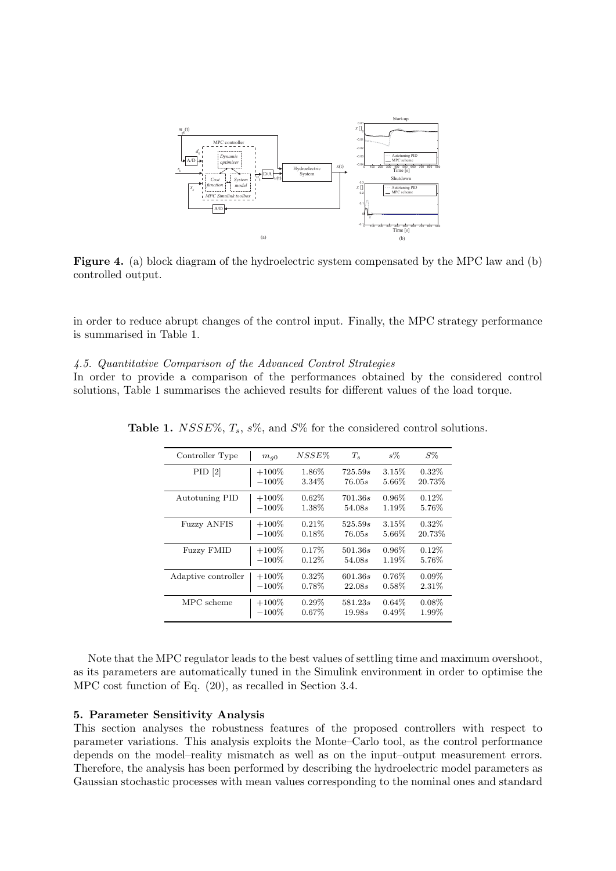

Figure 4. (a) block diagram of the hydroelectric system compensated by the MPC law and (b) controlled output.

in order to reduce abrupt changes of the control input. Finally, the MPC strategy performance is summarised in Table 1.

4.5. Quantitative Comparison of the Advanced Control Strategies

In order to provide a comparison of the performances obtained by the considered control solutions, Table 1 summarises the achieved results for different values of the load torque.

| Controller Type     | $m_{q0}$ | $NSSE\%$ | $T_s$   | $s\%$    | $S\%$    |
|---------------------|----------|----------|---------|----------|----------|
| PID [2]             | $+100\%$ | 1.86%    | 725.59s | 3.15%    | $0.32\%$ |
|                     | $-100%$  | 3.34%    | 76.05s  | 5.66%    | 20.73%   |
| Autotuning PID      | $+100\%$ | $0.62\%$ | 701.36s | $0.96\%$ | 0.12%    |
|                     | $-100%$  | 1.38%    | 54.08s  | 1.19%    | 5.76%    |
| <b>Fuzzy ANFIS</b>  | $+100\%$ | 0.21%    | 525.59s | 3.15%    | $0.32\%$ |
|                     | $-100%$  | $0.18\%$ | 76.05s  | 5.66%    | 20.73%   |
| <b>Fuzzy FMID</b>   | $+100\%$ | 0.17%    | 501.36s | $0.96\%$ | 0.12%    |
|                     | $-100%$  | 0.12%    | 54.08s  | 1.19%    | 5.76%    |
| Adaptive controller | $+100\%$ | $0.32\%$ | 601.36s | 0.76%    | $0.09\%$ |
|                     | $-100%$  | $0.78\%$ | 22.08s  | $0.58\%$ | 2.31\%   |
| MPC scheme          | $+100\%$ | $0.29\%$ | 581.23s | 0.64%    | $0.08\%$ |
|                     | $-100%$  | $0.67\%$ | 19.98s  | 0.49%    | 1.99%    |

**Table 1.** NSSE%,  $T_s$ , s%, and S% for the considered control solutions.

Note that the MPC regulator leads to the best values of settling time and maximum overshoot, as its parameters are automatically tuned in the Simulink environment in order to optimise the MPC cost function of Eq. (20), as recalled in Section 3.4.

# 5. Parameter Sensitivity Analysis

This section analyses the robustness features of the proposed controllers with respect to parameter variations. This analysis exploits the Monte–Carlo tool, as the control performance depends on the model–reality mismatch as well as on the input–output measurement errors. Therefore, the analysis has been performed by describing the hydroelectric model parameters as Gaussian stochastic processes with mean values corresponding to the nominal ones and standard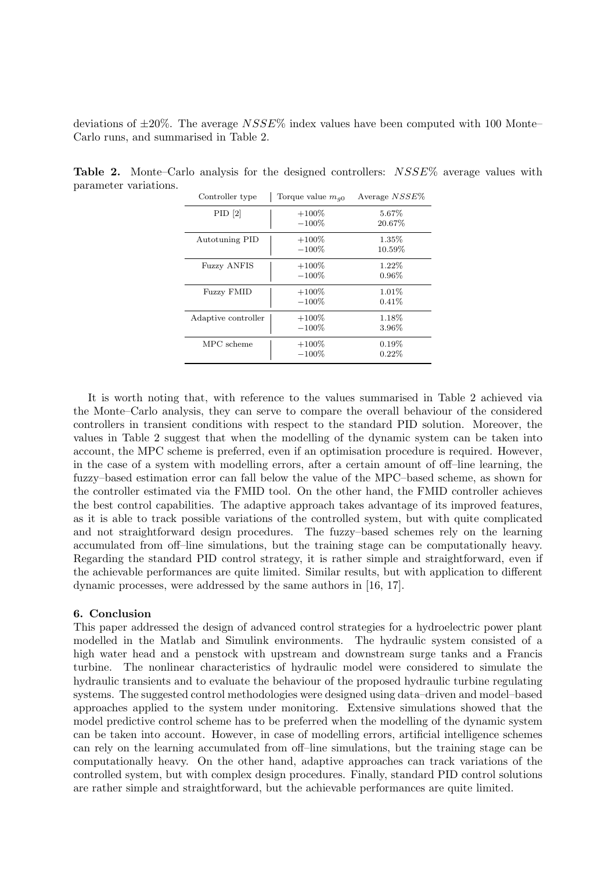deviations of  $\pm 20\%$ . The average NSSE% index values have been computed with 100 Monte– Carlo runs, and summarised in Table 2.

| Controller type     | Torque value $m_{q0}$ | Average NSSE% |
|---------------------|-----------------------|---------------|
| PID [2]             | $+100\%$              | 5.67%         |
|                     | $-100\%$              | 20.67%        |
| Autotuning PID      | $+100\%$              | 1.35%         |
|                     | $-100\%$              | 10.59%        |
| <b>Fuzzy ANFIS</b>  | $+100\%$              | $1.22\%$      |
|                     | $-100\%$              | $0.96\%$      |
| <b>Fuzzy FMID</b>   | $+100\%$              | $1.01\%$      |
|                     | $-100\%$              | 0.41%         |
| Adaptive controller | $+100\%$              | 1.18%         |
|                     | $-100\%$              | 3.96%         |
| MPC scheme          | $+100\%$              | $0.19\%$      |
|                     | $-100\%$              | $0.22\%$      |

Table 2. Monte–Carlo analysis for the designed controllers: NSSE% average values with parameter variations.

It is worth noting that, with reference to the values summarised in Table 2 achieved via the Monte–Carlo analysis, they can serve to compare the overall behaviour of the considered controllers in transient conditions with respect to the standard PID solution. Moreover, the values in Table 2 suggest that when the modelling of the dynamic system can be taken into account, the MPC scheme is preferred, even if an optimisation procedure is required. However, in the case of a system with modelling errors, after a certain amount of off–line learning, the fuzzy–based estimation error can fall below the value of the MPC–based scheme, as shown for the controller estimated via the FMID tool. On the other hand, the FMID controller achieves the best control capabilities. The adaptive approach takes advantage of its improved features, as it is able to track possible variations of the controlled system, but with quite complicated and not straightforward design procedures. The fuzzy–based schemes rely on the learning accumulated from off–line simulations, but the training stage can be computationally heavy. Regarding the standard PID control strategy, it is rather simple and straightforward, even if the achievable performances are quite limited. Similar results, but with application to different dynamic processes, were addressed by the same authors in [16, 17].

## 6. Conclusion

This paper addressed the design of advanced control strategies for a hydroelectric power plant modelled in the Matlab and Simulink environments. The hydraulic system consisted of a high water head and a penstock with upstream and downstream surge tanks and a Francis turbine. The nonlinear characteristics of hydraulic model were considered to simulate the hydraulic transients and to evaluate the behaviour of the proposed hydraulic turbine regulating systems. The suggested control methodologies were designed using data–driven and model–based approaches applied to the system under monitoring. Extensive simulations showed that the model predictive control scheme has to be preferred when the modelling of the dynamic system can be taken into account. However, in case of modelling errors, artificial intelligence schemes can rely on the learning accumulated from off–line simulations, but the training stage can be computationally heavy. On the other hand, adaptive approaches can track variations of the controlled system, but with complex design procedures. Finally, standard PID control solutions are rather simple and straightforward, but the achievable performances are quite limited.